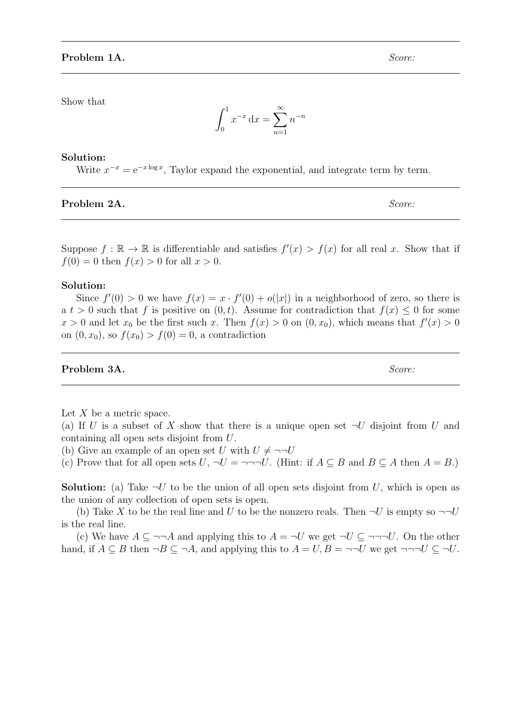Show that

$$
\int_0^1 x^{-x} dx = \sum_{n=1}^\infty n^{-n}
$$

#### Solution:

Write  $x^{-x} = e^{-x \log x}$ , Taylor expand the exponential, and integrate term by term.

#### Problem 2A. Score:

Suppose  $f : \mathbb{R} \to \mathbb{R}$  is differentiable and satisfies  $f'(x) > f(x)$  for all real x. Show that if  $f(0) = 0$  then  $f(x) > 0$  for all  $x > 0$ .

#### Solution:

Since  $f'(0) > 0$  we have  $f(x) = x \cdot f'(0) + o(|x|)$  in a neighborhood of zero, so there is a  $t > 0$  such that f is positive on  $(0, t)$ . Assume for contradiction that  $f(x) \leq 0$  for some  $x > 0$  and let  $x_0$  be the first such x. Then  $f(x) > 0$  on  $(0, x_0)$ , which means that  $f'(x) > 0$ on  $(0, x_0)$ , so  $f(x_0) > f(0) = 0$ , a contradiction

### **Problem 3A.** Score:

Let  $X$  be a metric space.

(a) If U is a subset of X show that there is a unique open set  $\neg U$  disjoint from U and containing all open sets disjoint from U.

(b) Give an example of an open set U with  $U \neq \neg\neg U$ 

(c) Prove that for all open sets  $U, \neg U = \neg \neg \neg U$ . (Hint: if  $A \subseteq B$  and  $B \subseteq A$  then  $A = B$ .)

**Solution:** (a) Take  $\neg U$  to be the union of all open sets disjoint from U, which is open as the union of any collection of open sets is open.

(b) Take X to be the real line and U to be the nonzero reals. Then  $\neg U$  is empty so  $\neg\neg U$ is the real line.

(c) We have  $A \subseteq \neg\neg A$  and applying this to  $A = \neg U$  we get  $\neg U \subseteq \neg \neg \neg U$ . On the other hand, if  $A \subseteq B$  then  $\neg B \subseteq \neg A$ , and applying this to  $A = U, B = \neg \neg U$  we get  $\neg \neg \neg U \subseteq \neg U$ .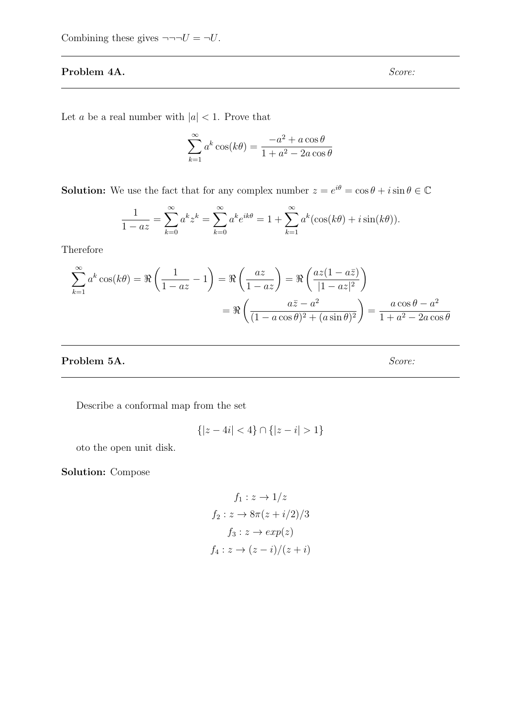# Problem 4A. Score:

Let a be a real number with  $|a| < 1$ . Prove that

$$
\sum_{k=1}^{\infty} a^k \cos(k\theta) = \frac{-a^2 + a\cos\theta}{1 + a^2 - 2a\cos\theta}
$$

**Solution:** We use the fact that for any complex number  $z = e^{i\theta} = \cos \theta + i \sin \theta \in \mathbb{C}$ 

$$
\frac{1}{1 - az} = \sum_{k=0}^{\infty} a^k z^k = \sum_{k=0}^{\infty} a^k e^{ik\theta} = 1 + \sum_{k=1}^{\infty} a^k (\cos(k\theta) + i \sin(k\theta)).
$$

Therefore

$$
\sum_{k=1}^{\infty} a^k \cos(k\theta) = \Re\left(\frac{1}{1 - az} - 1\right) = \Re\left(\frac{az}{1 - az}\right) = \Re\left(\frac{az(1 - a\bar{z})}{|1 - az|^2}\right)
$$

$$
= \Re\left(\frac{a\bar{z} - a^2}{(1 - a\cos\theta)^2 + (a\sin\theta)^2}\right) = \frac{a\cos\theta - a^2}{1 + a^2 - 2a\cos\theta}
$$

# Problem 5A. Score:

Describe a conformal map from the set

$$
\{|z - 4i| < 4\} \cap \{|z - i| > 1\}
$$

oto the open unit disk.

Solution: Compose

$$
f_1: z \to 1/z
$$
  

$$
f_2: z \to 8\pi (z + i/2)/3
$$
  

$$
f_3: z \to exp(z)
$$
  

$$
f_4: z \to (z - i)/(z + i)
$$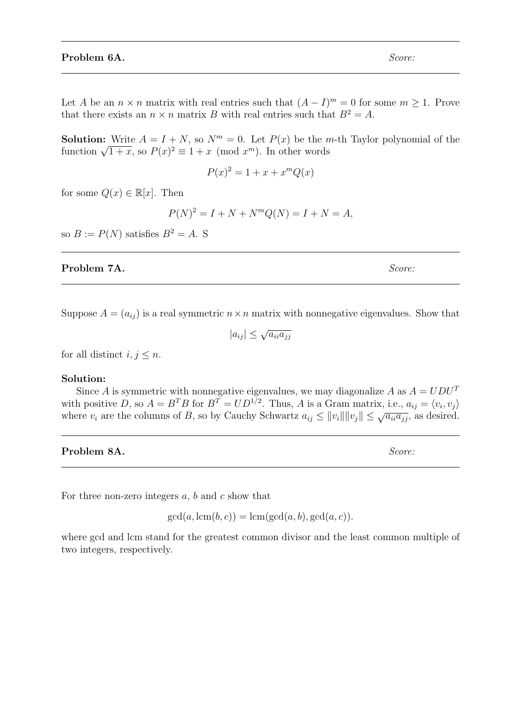Let A be an  $n \times n$  matrix with real entries such that  $(A - I)^m = 0$  for some  $m \ge 1$ . Prove that there exists an  $n \times n$  matrix B with real entries such that  $B^2 = A$ .

**Solution:** Write  $A = I + N$ , so  $N<sup>m</sup> = 0$ . Let  $P(x)$  be the *m*-th Taylor polynomial of the **SOUTION:** Write  $A = I + N$ , so  $N^m = 0$ . Let  $P(x)$  be the *n* function  $\sqrt{1+x}$ , so  $P(x)^2 \equiv 1+x \pmod{x^m}$ . In other words

$$
P(x)^2 = 1 + x + x^m Q(x)
$$

for some  $Q(x) \in \mathbb{R}[x]$ . Then

$$
P(N)^{2} = I + N + N^{m}Q(N) = I + N = A,
$$

so  $B := P(N)$  satisfies  $B^2 = A$ . S

### **Problem 7A.** Score:

Suppose  $A = (a_{ij})$  is a real symmetric  $n \times n$  matrix with nonnegative eigenvalues. Show that

$$
|a_{ij}| \le \sqrt{a_{ii} a_{jj}}
$$

for all distinct  $i, j \leq n$ .

### Solution:

Since A is symmetric with nonnegative eigenvalues, we may diagonalize A as  $A = UDU^{T}$ with positive D, so  $A = B^T B$  for  $B^T = UD^{1/2}$ . Thus, A is a Gram matrix, i.e.,  $a_{ij} = \langle v_i, v_j \rangle$ where  $v_i$  are the columns of B, so by Cauchy Schwartz  $a_{ij} \le ||v_i|| ||v_j|| \le \sqrt{a_{ii} a_{jj}}$ , as desired.

**Problem 8A.** Score:

For three non-zero integers  $a, b$  and  $c$  show that

 $gcd(a, lcm(b, c)) = lcm(gcd(a, b), gcd(a, c)).$ 

where gcd and lcm stand for the greatest common divisor and the least common multiple of two integers, respectively.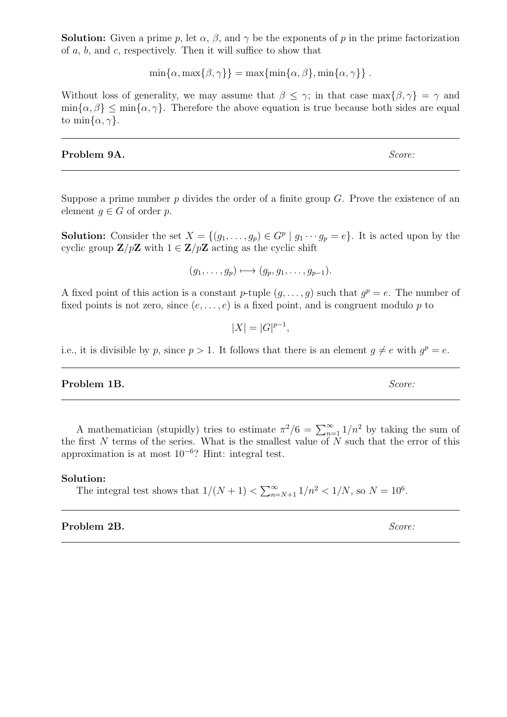**Solution:** Given a prime p, let  $\alpha$ ,  $\beta$ , and  $\gamma$  be the exponents of p in the prime factorization of a, b, and c, respectively. Then it will suffice to show that

 $\min\{\alpha, \max\{\beta, \gamma\}\} = \max\{\min\{\alpha, \beta\}, \min\{\alpha, \gamma\}\}.$ 

Without loss of generality, we may assume that  $\beta \leq \gamma$ ; in that case max $\{\beta, \gamma\} = \gamma$  and  $\min{\{\alpha, \beta\}} \leq \min{\{\alpha, \gamma\}}$ . Therefore the above equation is true because both sides are equal to min $\{\alpha, \gamma\}.$ 

## **Problem 9A.** Score:

Suppose a prime number  $p$  divides the order of a finite group  $G$ . Prove the existence of an element  $q \in G$  of order p.

**Solution:** Consider the set  $X = \{(g_1, \ldots, g_p) \in G^p \mid g_1 \cdots g_p = e\}$ . It is acted upon by the cyclic group  $\mathbf{Z}/p\mathbf{Z}$  with  $1 \in \mathbf{Z}/p\mathbf{Z}$  acting as the cyclic shift

$$
(g_1,\ldots,g_p)\longmapsto (g_p,g_1,\ldots,g_{p-1}).
$$

A fixed point of this action is a constant p-tuple  $(g, \ldots, g)$  such that  $g^p = e$ . The number of fixed points is not zero, since  $(e, \ldots, e)$  is a fixed point, and is congruent modulo p to

 $|X| = |G|^{p-1},$ 

i.e., it is divisible by p, since  $p > 1$ . It follows that there is an element  $g \neq e$  with  $g^p = e$ .

## **Problem 1B.** Score:

A mathematician (stupidly) tries to estimate  $\pi^2/6 = \sum_{n=1}^{\infty} 1/n^2$  by taking the sum of the first  $N$  terms of the series. What is the smallest value of  $N$  such that the error of this approximation is at most 10<sup>−</sup><sup>6</sup> ? Hint: integral test.

### Solution:

The integral test shows that  $1/(N+1) < \sum_{n=N+1}^{\infty} 1/n^2 < 1/N$ , so  $N = 10^6$ .

# Problem 2B. Score: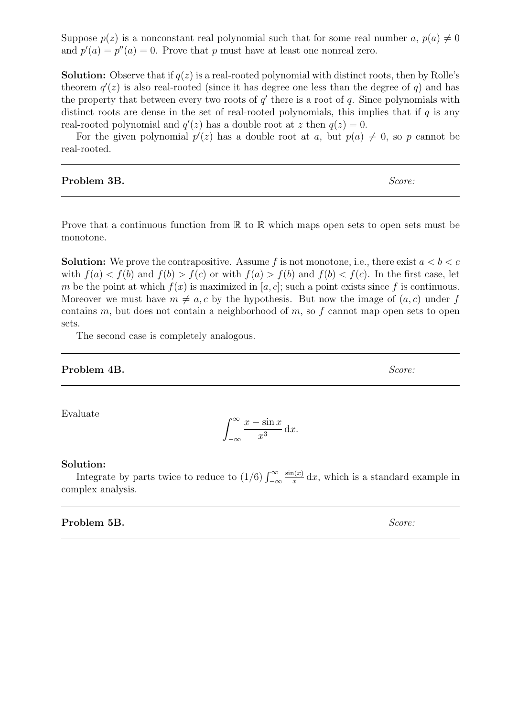Suppose  $p(z)$  is a nonconstant real polynomial such that for some real number a,  $p(a) \neq 0$ and  $p'(a) = p''(a) = 0$ . Prove that p must have at least one nonreal zero.

**Solution:** Observe that if  $q(z)$  is a real-rooted polynomial with distinct roots, then by Rolle's theorem  $q'(z)$  is also real-rooted (since it has degree one less than the degree of q) and has the property that between every two roots of  $q'$  there is a root of  $q$ . Since polynomials with distinct roots are dense in the set of real-rooted polynomials, this implies that if  $q$  is any real-rooted polynomial and  $q'(z)$  has a double root at z then  $q(z) = 0$ .

For the given polynomial  $p'(z)$  has a double root at a, but  $p(a) \neq 0$ , so p cannot be real-rooted.

Problem 3B. Score:

Prove that a continuous function from  $\mathbb R$  to  $\mathbb R$  which maps open sets to open sets must be monotone.

**Solution:** We prove the contrapositive. Assume f is not monotone, i.e., there exist  $a < b < c$ with  $f(a) < f(b)$  and  $f(b) > f(c)$  or with  $f(a) > f(b)$  and  $f(b) < f(c)$ . In the first case, let m be the point at which  $f(x)$  is maximized in [a, c]; such a point exists since f is continuous. Moreover we must have  $m \neq a, c$  by the hypothesis. But now the image of  $(a, c)$  under f contains m, but does not contain a neighborhood of  $m$ , so  $f$  cannot map open sets to open sets.

The second case is completely analogous.

### **Problem 4B.** Score:

Evaluate

$$
\int_{-\infty}^{\infty} \frac{x - \sin x}{x^3} \, \mathrm{d}x.
$$

#### Solution:

Integrate by parts twice to reduce to  $(1/6) \int_{-\infty}^{\infty}$  $sin(x)$  $\frac{d(x)}{dx}$  dx, which is a standard example in complex analysis.

Problem 5B. Score: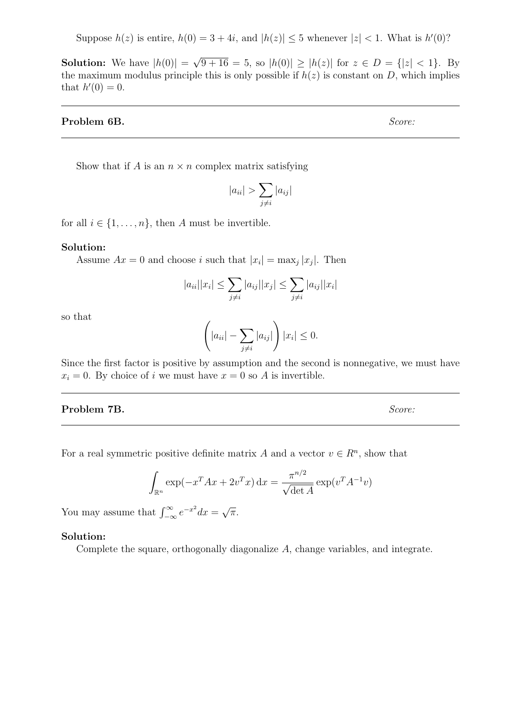Suppose  $h(z)$  is entire,  $h(0) = 3 + 4i$ , and  $|h(z)| \leq 5$  whenever  $|z| < 1$ . What is  $h'(0)$ ?

**Solution:** We have  $|h(0)| =$ √  $9 + 16 = 5$ , so  $|h(0)| \ge |h(z)|$  for  $z \in D = \{|z| < 1\}$ . By the maximum modulus principle this is only possible if  $h(z)$  is constant on D, which implies that  $h'(0) = 0$ .

### Problem 6B. Score:

Show that if A is an  $n \times n$  complex matrix satisfying

$$
|a_{ii}| > \sum_{j \neq i} |a_{ij}|
$$

for all  $i \in \{1, \ldots, n\}$ , then A must be invertible.

#### Solution:

Assume  $Ax = 0$  and choose i such that  $|x_i| = \max_j |x_j|$ . Then

$$
|a_{ii}| |x_i| \le \sum_{j \neq i} |a_{ij}| |x_j| \le \sum_{j \neq i} |a_{ij}| |x_i|
$$

so that

$$
\left(|a_{ii}| - \sum_{j \neq i} |a_{ij}|\right)|x_i| \leq 0.
$$

Since the first factor is positive by assumption and the second is nonnegative, we must have  $x_i = 0$ . By choice of i we must have  $x = 0$  so A is invertible.

# Problem 7B. Score:

For a real symmetric positive definite matrix A and a vector  $v \in \mathbb{R}^n$ , show that

$$
\int_{\mathbb{R}^n} \exp(-x^T A x + 2v^T x) dx = \frac{\pi^{n/2}}{\sqrt{\det A}} \exp(v^T A^{-1} v)
$$

You may assume that  $\int_{-\infty}^{\infty} e^{-x^2} dx =$ √ π.

# Solution:

Complete the square, orthogonally diagonalize A, change variables, and integrate.